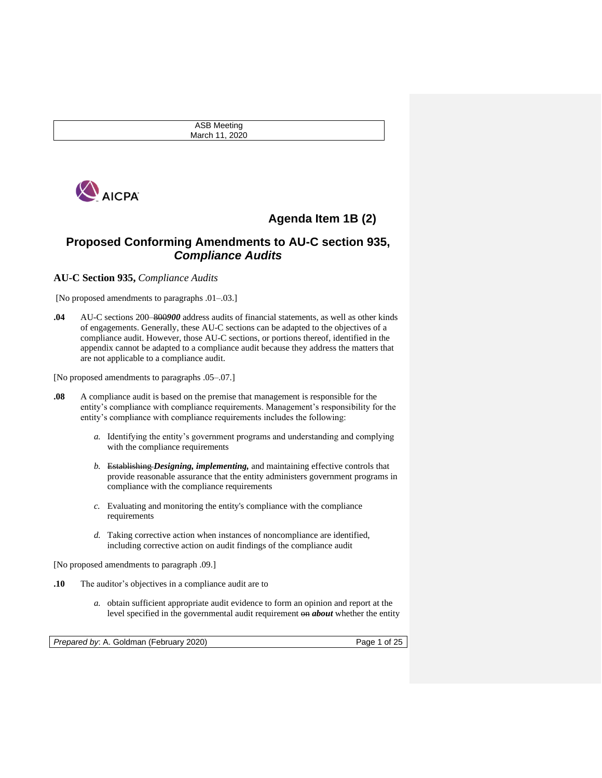ASB Meeting March 11, 2020



# **Agenda Item 1B (2)**

# **Proposed Conforming Amendments to AU-C section 935,**  *Compliance Audits*

**AU-C Section 935,** *Compliance Audits*

[No proposed amendments to paragraphs .01–.03.]

**.04** AU-C sections 200–800*900* address audits of financial statements, as well as other kinds of engagements. Generally, these AU-C sections can be adapted to the objectives of a compliance audit. However, those AU-C sections, or portions thereof, identified in the appendix cannot be adapted to a compliance audit because they address the matters that are not applicable to a compliance audit.

[No proposed amendments to paragraphs .05–.07.]

- **.08** A compliance audit is based on the premise that management is responsible for the entity's compliance with compliance requirements. Management's responsibility for the entity's compliance with compliance requirements includes the following:
	- *a.* Identifying the entity's government programs and understanding and complying with the compliance requirements
	- *b.* Establishing *Designing, implementing,* and maintaining effective controls that provide reasonable assurance that the entity administers government programs in compliance with the compliance requirements
	- *c.* Evaluating and monitoring the entity's compliance with the compliance requirements
	- *d.* Taking corrective action when instances of noncompliance are identified, including corrective action on audit findings of the compliance audit

[No proposed amendments to paragraph .09.]

- **.10** The auditor's objectives in a compliance audit are to
	- *a.* obtain sufficient appropriate audit evidence to form an opinion and report at the level specified in the governmental audit requirement on *about* whether the entity

**Prepared by: A. Goldman (February 2020)** Page 1 of 25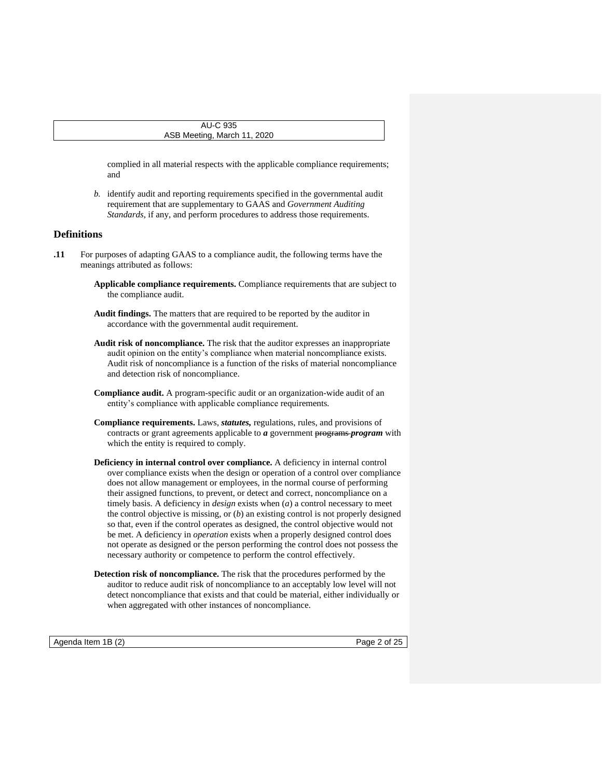| AU-C 935                    |  |  |
|-----------------------------|--|--|
| ASB Meeting, March 11, 2020 |  |  |

complied in all material respects with the applicable compliance requirements; and

*b.* identify audit and reporting requirements specified in the governmental audit requirement that are supplementary to GAAS and *Government Auditing Standards*, if any, and perform procedures to address those requirements.

# **Definitions**

- **.11** For purposes of adapting GAAS to a compliance audit, the following terms have the meanings attributed as follows:
	- **Applicable compliance requirements.** Compliance requirements that are subject to the compliance audit.
	- **Audit findings.** The matters that are required to be reported by the auditor in accordance with the governmental audit requirement.
	- **Audit risk of noncompliance.** The risk that the auditor expresses an inappropriate audit opinion on the entity's compliance when material noncompliance exists. Audit risk of noncompliance is a function of the risks of material noncompliance and detection risk of noncompliance.
	- **Compliance audit.** A program-specific audit or an organization-wide audit of an entity's compliance with applicable compliance requirements*.*
	- **Compliance requirements.** Laws, *statutes,* regulations, rules, and provisions of contracts or grant agreements applicable to *a* government programs *program* with which the entity is required to comply.
	- **Deficiency in internal control over compliance.** A deficiency in internal control over compliance exists when the design or operation of a control over compliance does not allow management or employees, in the normal course of performing their assigned functions, to prevent, or detect and correct, noncompliance on a timely basis. A deficiency in *design* exists when (*a*) a control necessary to meet the control objective is missing, or (*b*) an existing control is not properly designed so that, even if the control operates as designed, the control objective would not be met. A deficiency in *operation* exists when a properly designed control does not operate as designed or the person performing the control does not possess the necessary authority or competence to perform the control effectively.
	- **Detection risk of noncompliance.** The risk that the procedures performed by the auditor to reduce audit risk of noncompliance to an acceptably low level will not detect noncompliance that exists and that could be material, either individually or when aggregated with other instances of noncompliance.

Agenda Item 1B (2) Page 2 of 25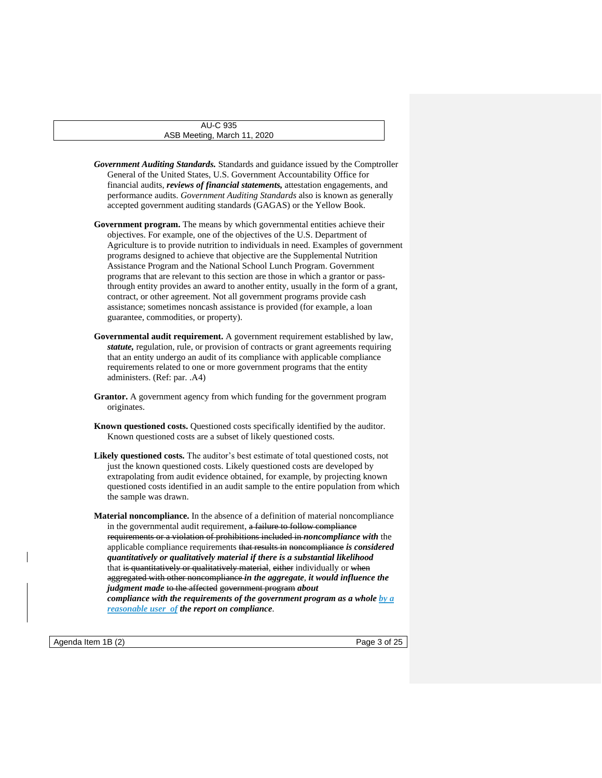| AU-C 935                    |  |  |
|-----------------------------|--|--|
| ASB Meeting, March 11, 2020 |  |  |

- *Government Auditing Standards.* Standards and guidance issued by the Comptroller General of the United States, U.S. Government Accountability Office for financial audits, *reviews of financial statements,* attestation engagements, and performance audits. *Government Auditing Standards* also is known as generally accepted government auditing standards (GAGAS) or the Yellow Book.
- **Government program.** The means by which governmental entities achieve their objectives. For example, one of the objectives of the U.S. Department of Agriculture is to provide nutrition to individuals in need. Examples of government programs designed to achieve that objective are the Supplemental Nutrition Assistance Program and the National School Lunch Program. Government programs that are relevant to this section are those in which a grantor or passthrough entity provides an award to another entity, usually in the form of a grant, contract, or other agreement. Not all government programs provide cash assistance; sometimes noncash assistance is provided (for example, a loan guarantee, commodities, or property).
- **Governmental audit requirement.** A government requirement established by law, *statute,* regulation, rule, or provision of contracts or grant agreements requiring that an entity undergo an audit of its compliance with applicable compliance requirements related to one or more government programs that the entity administers. (Ref: par. .A4)
- **Grantor.** A government agency from which funding for the government program originates.
- **Known questioned costs.** Questioned costs specifically identified by the auditor. Known questioned costs are a subset of likely questioned costs.
- **Likely questioned costs.** The auditor's best estimate of total questioned costs, not just the known questioned costs. Likely questioned costs are developed by extrapolating from audit evidence obtained, for example, by projecting known questioned costs identified in an audit sample to the entire population from which the sample was drawn.
- **Material noncompliance.** In the absence of a definition of material noncompliance in the governmental audit requirement, a failure to follow compliance requirements or a violation of prohibitions included in *noncompliance with* the applicable compliance requirements that results in noncompliance *is considered quantitatively or qualitatively material if there is a substantial likelihood*  that is quantitatively or qualitatively material, either individually or when aggregated with other noncompliance *in the aggregate*, *it would influence the judgment made* to the affected government program *about compliance with the requirements of the government program as a whole by a reasonable user of the report on compliance*.

Agenda Item 1B (2) Page 3 of 25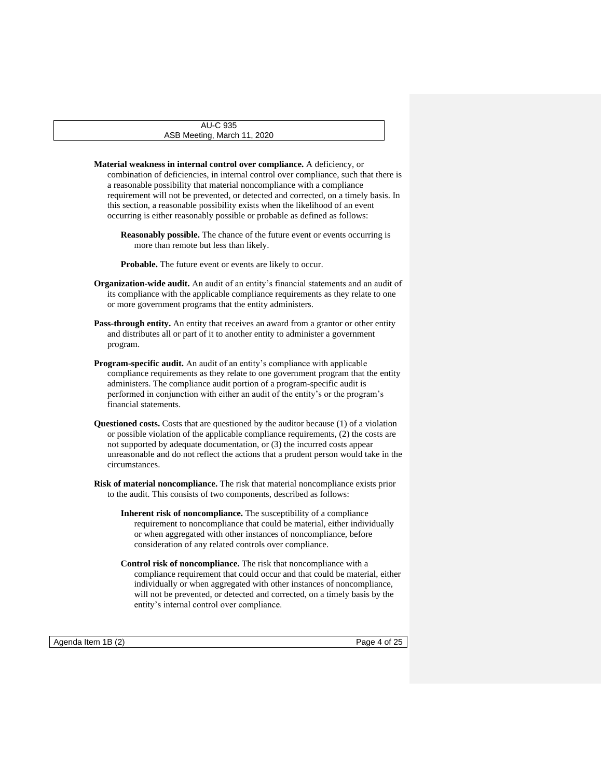**Material weakness in internal control over compliance.** A deficiency, or combination of deficiencies, in internal control over compliance, such that there is a reasonable possibility that material noncompliance with a compliance requirement will not be prevented, or detected and corrected, on a timely basis. In this section, a reasonable possibility exists when the likelihood of an event occurring is either reasonably possible or probable as defined as follows:

**Reasonably possible.** The chance of the future event or events occurring is more than remote but less than likely.

**Probable.** The future event or events are likely to occur.

- **Organization-wide audit.** An audit of an entity's financial statements and an audit of its compliance with the applicable compliance requirements as they relate to one or more government programs that the entity administers.
- Pass-through entity. An entity that receives an award from a grantor or other entity and distributes all or part of it to another entity to administer a government program.
- **Program-specific audit.** An audit of an entity's compliance with applicable compliance requirements as they relate to one government program that the entity administers. The compliance audit portion of a program-specific audit is performed in conjunction with either an audit of the entity's or the program's financial statements.
- **Questioned costs.** Costs that are questioned by the auditor because (1) of a violation or possible violation of the applicable compliance requirements, (2) the costs are not supported by adequate documentation, or (3) the incurred costs appear unreasonable and do not reflect the actions that a prudent person would take in the circumstances.
- **Risk of material noncompliance.** The risk that material noncompliance exists prior to the audit. This consists of two components, described as follows:
	- **Inherent risk of noncompliance.** The susceptibility of a compliance requirement to noncompliance that could be material, either individually or when aggregated with other instances of noncompliance, before consideration of any related controls over compliance.
	- **Control risk of noncompliance.** The risk that noncompliance with a compliance requirement that could occur and that could be material, either individually or when aggregated with other instances of noncompliance, will not be prevented, or detected and corrected, on a timely basis by the entity's internal control over compliance.

Agenda Item 1B (2) **Page 4 of 25** and 25 and 25 and 26 and 26 and 26 and 26 and 26 and 26 and 26 and 26 and 26 and 26 and 26 and 26 and 26 and 26 and 26 and 26 and 26 and 26 and 26 and 26 and 26 and 26 and 26 and 26 and 26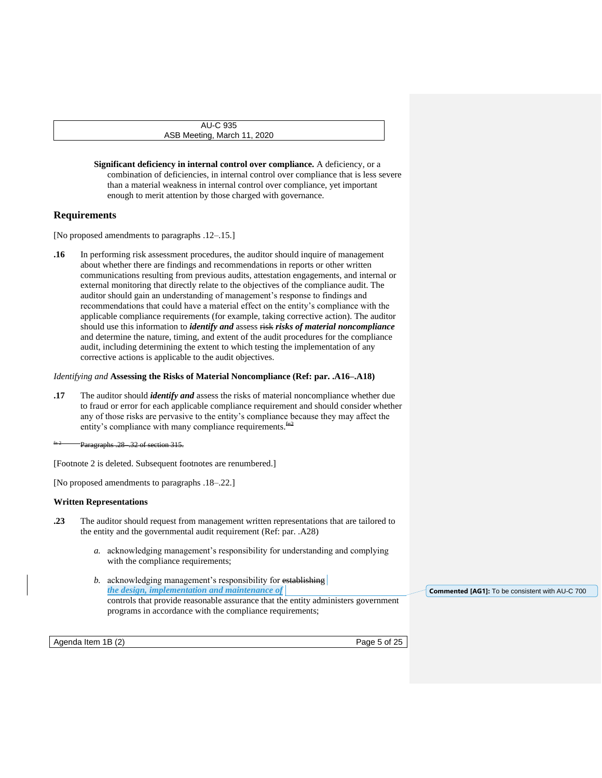**Significant deficiency in internal control over compliance.** A deficiency, or a combination of deficiencies, in internal control over compliance that is less severe than a material weakness in internal control over compliance, yet important enough to merit attention by those charged with governance.

# **Requirements**

[No proposed amendments to paragraphs .12–.15.]

**.16** In performing risk assessment procedures, the auditor should inquire of management about whether there are findings and recommendations in reports or other written communications resulting from previous audits, attestation engagements, and internal or external monitoring that directly relate to the objectives of the compliance audit. The auditor should gain an understanding of management's response to findings and recommendations that could have a material effect on the entity's compliance with the applicable compliance requirements (for example, taking corrective action). The auditor should use this information to *identify and* assess risk *risks of material noncompliance* and determine the nature, timing, and extent of the audit procedures for the compliance audit, including determining the extent to which testing the implementation of any corrective actions is applicable to the audit objectives.

# *Identifying and* **Assessing the Risks of Material Noncompliance (Ref: [par. .A16–.A18\)](#page-16-0)**

**.17** The auditor should *identify and* assess the risks of material noncompliance whether due to fraud or error for each applicable compliance requirement and should consider whether any of those risks are pervasive to the entity's compliance because they may affect the entity's compliance with many compliance requirements.  $\frac{fn2}{n}$ 

Paragraphs .28–.32 of section 315.

[Footnote 2 is deleted. Subsequent footnotes are renumbered.]

[No proposed amendments to paragraphs .18–.22.]

## **Written Representations**

- **.23** The auditor should request from management written representations that are tailored to the entity and the governmental audit requirement (Ref: par. .A28)
	- *a.* acknowledging management's responsibility for understanding and complying with the compliance requirements;
	- *b.* acknowledging management's responsibility for establishing *the design, implementation and maintenance of* controls that provide reasonable assurance that the entity administers government programs in accordance with the compliance requirements;

**Commented [AG1]:** To be consistent with AU-C 700

Agenda Item 1B (2) Page 5 of 25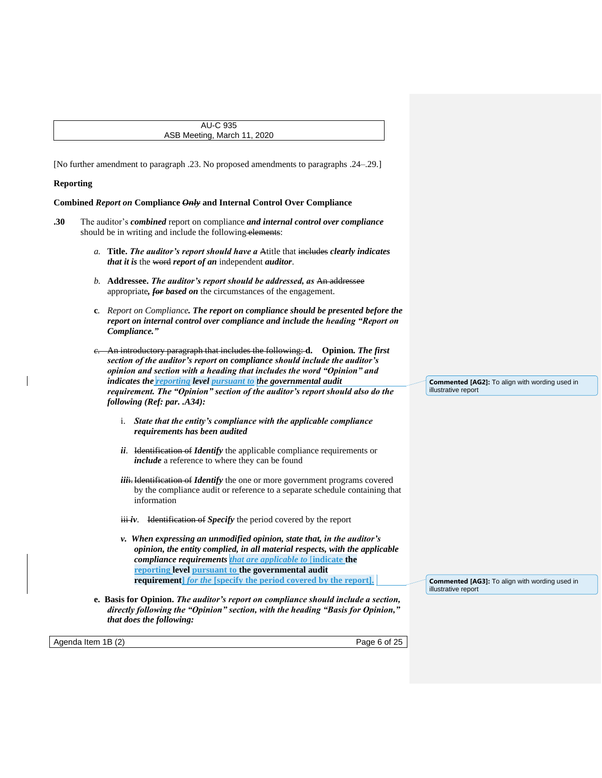| AU-C 935                    |  |
|-----------------------------|--|
| ASB Meeting, March 11, 2020 |  |

[No further amendment to paragraph .23. No proposed amendments to paragraphs .24–.29.]

## **Reporting**

## **Combined** *Report on* **Compliance** *Only* **and Internal Control Over Compliance**

- <span id="page-5-0"></span>**.30** The auditor's *combined* report on compliance *and internal control over compliance* should be in writing and include the following elements:
	- *a.* **Title.** *The auditor's report should have a* Atitle that includes *clearly indicates that it is* the word *report of an* independent *auditor*.
	- *b.* **Addressee.** *The auditor's report should be addressed, as* An addressee appropriate*, for based on* the circumstances of the engagement.
	- **c***. Report on Compliance. The report on compliance should be presented before the report on internal control over compliance and include the heading "Report on Compliance."*
	- *c.* An introductory paragraph that includes the following: **d. Opinion***. The first section of the auditor's report on compliance should include the auditor's opinion and section with a heading that includes the word "Opinion" and indicates the reporting level pursuant to the governmental audit requirement. The "Opinion" section of the auditor's report should also do the following (Ref: par. .A34):*
		- i. *State that the entity's compliance with the applicable compliance requirements has been audited*
		- *ii*. Identification of *Identify* the applicable compliance requirements or *include* a reference to where they can be found
		- *iii*. Identification of *Identify* the one or more government programs covered by the compliance audit or reference to a separate schedule containing that information
		- iii *iv*. Identification of *Specify* the period covered by the report
		- *v. When expressing an unmodified opinion, state that, in the auditor's opinion, the entity complied, in all material respects, with the applicable compliance requirements that are applicable to* [**indicate the reporting level pursuant to the governmental audit requirement]** *for the* **[specify the period covered by the report].**
	- **e. Basis for Opinion.** *The auditor's report on compliance should include a section, directly following the "Opinion" section, with the heading "Basis for Opinion," that does the following:*

**Commented [AG3]:** To align with wording used in illustrative report

Agenda Item 1B (2) Page 6 of 25

**Commented [AG2]:** To align with wording used in illustrative report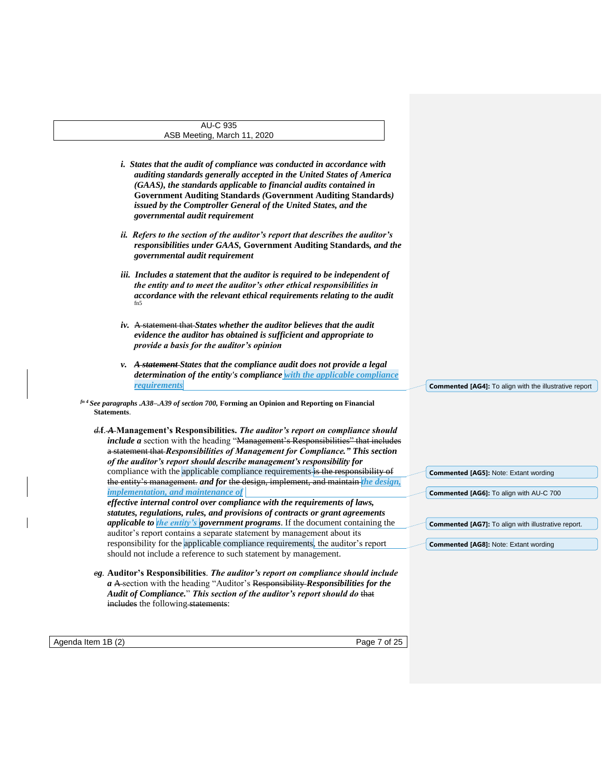| AU-C 935                    |  |  |
|-----------------------------|--|--|
| ASB Meeting, March 11, 2020 |  |  |

- *i. States that the audit of compliance was conducted in accordance with auditing standards generally accepted in the United States of America (GAAS), the standards applicable to financial audits contained in*  **Government Auditing Standards** *(***Government Auditing Standards***) issued by the Comptroller General of the United States, and the governmental audit requirement*
- *ii. Refers to the section of the auditor's report that describes the auditor's responsibilities under GAAS,* **Government Auditing Standards***, and the governmental audit requirement*
- *iii. Includes a statement that the auditor is required to be independent of the entity and to meet the auditor's other ethical responsibilities in accordance with the relevant ethical requirements relating to the audit* fn5
- *iv.* A statement that *States whether the auditor believes that the audit evidence the auditor has obtained is sufficient and appropriate to provide a basis for the auditor's opinion*
- *v. A statement States that the compliance audit does not provide a legal determination of the entity's compliance with the applicable compliance requirements*

*fn 4 See paragraphs .A38–.A39 of section 700,* **Forming an Opinion and Reporting on Financial Statements**.

*d.***f**. *A* **Management's Responsibilities.** *The auditor's report on compliance should include a* section with the heading "Management's Responsibilities" that includes a statement that *Responsibilities of Management for Compliance." This section of the auditor's report should describe management's responsibility for*  compliance with the applicable compliance requirements is the responsibility of the entity's management. *and for* the design, implement, and maintain *the design, implementation, and maintenance of effective internal control over compliance with the requirements of laws, statutes, regulations, rules, and provisions of contracts or grant agreements* 

*applicable to the entity's government programs*. If the document containing the auditor's report contains a separate statement by management about its responsibility for the applicable compliance requirements, the auditor's report should not include a reference to such statement by management.

*eg.* **Auditor's Responsibilities***. The auditor's report on compliance should include a* A section with the heading "Auditor's Responsibility *Responsibilities for the Audit of Compliance.*" *This section of the auditor's report should do* that includes the following statements:

Agenda Item 1B (2) Page 7 of 25

**Commented [AG4]:** To align with the illustrative report

**Commented [AG5]:** Note: Extant wording

**Commented [AG6]:** To align with AU-C 700

**Commented [AG7]:** To align with illustrative report.

**Commented [AG8]:** Note: Extant wording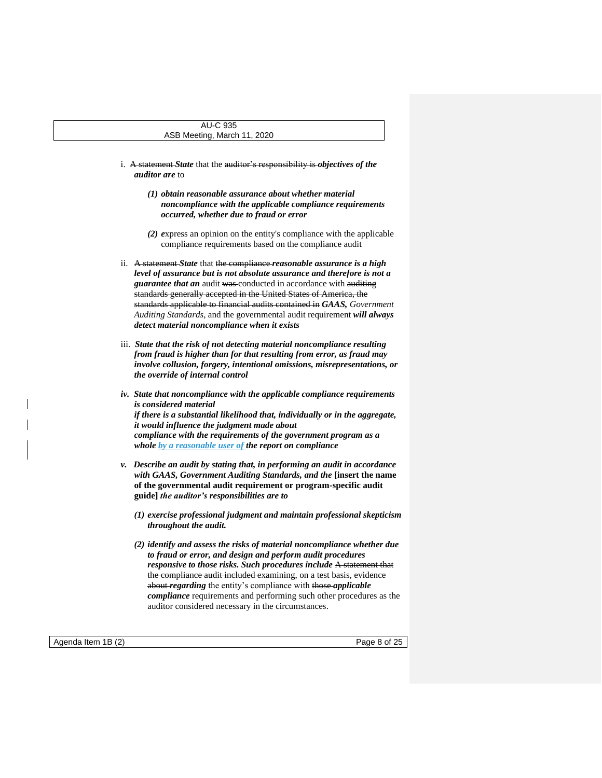- i. A statement *State* that the auditor's responsibility is *objectives of the auditor are* to
	- *(1) obtain reasonable assurance about whether material noncompliance with the applicable compliance requirements occurred, whether due to fraud or error*
	- *(2) e*xpress an opinion on the entity's compliance with the applicable compliance requirements based on the compliance audit
- ii. A statement *State* that the compliance *reasonable assurance is a high level of assurance but is not absolute assurance and therefore is not a guarantee that an* audit was conducted in accordance with auditing standards generally accepted in the United States of America, the standards applicable to financial audits contained in *GAAS, Government Auditing Standards*, and the governmental audit requirement *will always detect material noncompliance when it exists*
- iii. *State that the risk of not detecting material noncompliance resulting from fraud is higher than for that resulting from error, as fraud may involve collusion, forgery, intentional omissions, misrepresentations, or the override of internal control*
- *iv. State that noncompliance with the applicable compliance requirements is considered material if there is a substantial likelihood that, individually or in the aggregate, it would influence the judgment made about compliance with the requirements of the government program as a whole by a reasonable user of the report on compliance*
- *v. Describe an audit by stating that, in performing an audit in accordance with GAAS, Government Auditing Standards, and the* **[insert the name of the governmental audit requirement or program-specific audit guide]** *the auditor's responsibilities are to*
	- *(1) exercise professional judgment and maintain professional skepticism throughout the audit.*
	- *(2) identify and assess the risks of material noncompliance whether due to fraud or error, and design and perform audit procedures responsive to those risks. Such procedures include* A statement that the compliance audit included examining, on a test basis, evidence about *regarding* the entity's compliance with those *applicable compliance* requirements and performing such other procedures as the auditor considered necessary in the circumstances.

Agenda Item 1B (2) **Page 8 of 25** and 25 and 25 and 25 and 25 and 25 and 25 and 25 and 26 and 26 and 26 and 26 and 26 and 26 and 26 and 26 and 26 and 26 and 26 and 26 and 26 and 26 and 26 and 26 and 26 and 26 and 26 and 26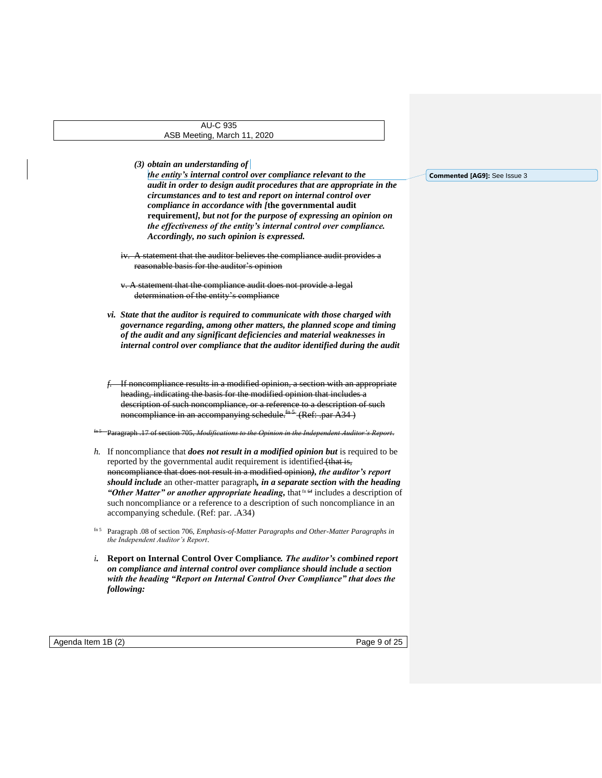*(3) obtain an understanding of* 

*the entity's internal control over compliance relevant to the audit in order to design audit procedures that are appropriate in the circumstances and to test and report on internal control over compliance in accordance with [***the governmental audit requirement***], but not for the purpose of expressing an opinion on the effectiveness of the entity's internal control over compliance. Accordingly, no such opinion is expressed.*

iv. A statement that the auditor believes the compliance audit provides a reasonable basis for the auditor's opinion

v. A statement that the compliance audit does not provide a legal determination of the entity's compliance

- *vi. State that the auditor is required to communicate with those charged with governance regarding, among other matters, the planned scope and timing of the audit and any significant deficiencies and material weaknesses in internal control over compliance that the auditor identified during the audit*
- *f.* If noncompliance results in a modified opinion, a section with an appropriate heading, indicating the basis for the modified opinion that includes a description of such noncompliance, or a reference to a description of such noncompliance in an accompanying schedule.<sup> $f_{\text{m}}$  5 (Ref: .par  $\widehat{A}$ 34)</sup>

Paragraph .17 of section 705, *Modifications to the Opinion in the Independent Auditor's Report*.

- *h.* If noncompliance that *does not result in a modified opinion but* is required to be reported by the governmental audit requirement is identified (that is, noncompliance that does not result in a modified opinion*), the auditor's report should include* an other-matter paragraph*, in a separate section with the heading*  "Other Matter" or another appropriate heading, that fin 64 includes a description of such noncompliance or a reference to a description of such noncompliance in an accompanying schedule. (Ref: par. .A34)
- fn 5 Paragraph .08 of section 706, *Emphasis-of-Matter Paragraphs and Other-Matter Paragraphs in the Independent Auditor's Report*.
- *i.* **Report on Internal Control Over Compliance***. The auditor's combined report on compliance and internal control over compliance should include a section with the heading "Report on Internal Control Over Compliance" that does the following:*

Agenda Item 1B (2) Page 9 of 25

**Commented [AG9]:** See Issue 3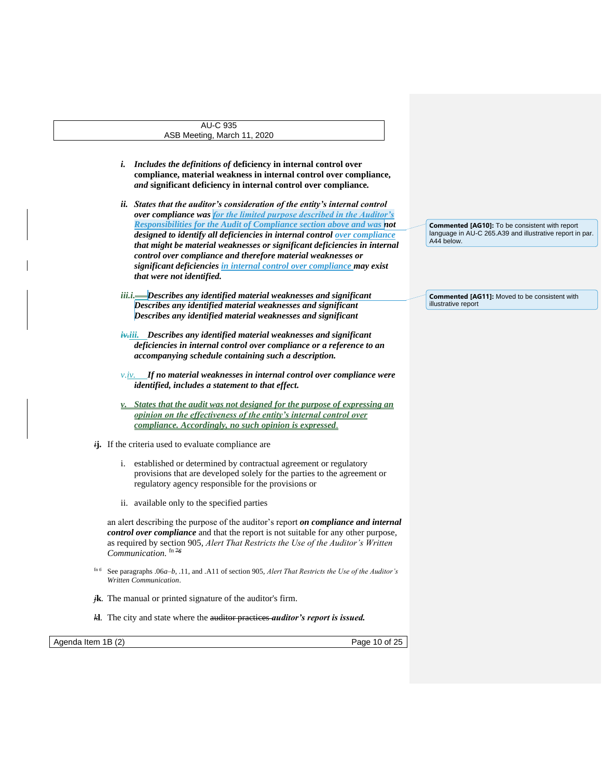- *i. Includes the definitions of* **deficiency in internal control over compliance, material weakness in internal control over compliance,** *and* **significant deficiency in internal control over compliance***.*
- *ii. States that the auditor's consideration of the entity's internal control over compliance was for the limited purpose described in the Auditor's Responsibilities for the Audit of Compliance section above and was not designed to identify all deficiencies in internal control over compliance that might be material weaknesses or significant deficiencies in internal control over compliance and therefore material weaknesses or significant deficiencies in internal control over compliance may exist that were not identified.*
- *iii.i. Describes any identified material weaknesses and significant Describes any identified material weaknesses and significant Describes any identified material weaknesses and significant*
- *iv.iii. Describes any identified material weaknesses and significant deficiencies in internal control over compliance or a reference to an accompanying schedule containing such a description.*
- *v.iv. If no material weaknesses in internal control over compliance were identified, includes a statement to that effect.*
- *v. States that the audit was not designed for the purpose of expressing an opinion on the effectiveness of the entity's internal control over compliance. Accordingly, no such opinion is expressed*.
- *i***j.** If the criteria used to evaluate compliance are
	- i. established or determined by contractual agreement or regulatory provisions that are developed solely for the parties to the agreement or regulatory agency responsible for the provisions or
	- ii. available only to the specified parties

an alert describing the purpose of the auditor's report *on compliance and internal control over compliance* and that the report is not suitable for any other purpose, as required by section 905, *Alert That Restricts the Use of the Auditor's Written*  Communication.<sup>fn 76</sup>

- fn *<sup>6</sup>* See paragraphs .06*a*–*b*, .11, and .A11 of section 905, *Alert That Restricts the Use of the Auditor's Written Communication*.
- *j***k***.* The manual or printed signature of the auditor's firm.
- *k***l***.* The city and state where the auditor practices *auditor's report is issued.*

**Commented [AG10]:** To be consistent with report language in AU-C 265.A39 and illustrative report in par. A44 below.

**Commented [AG11]:** Moved to be consistent with illustrative report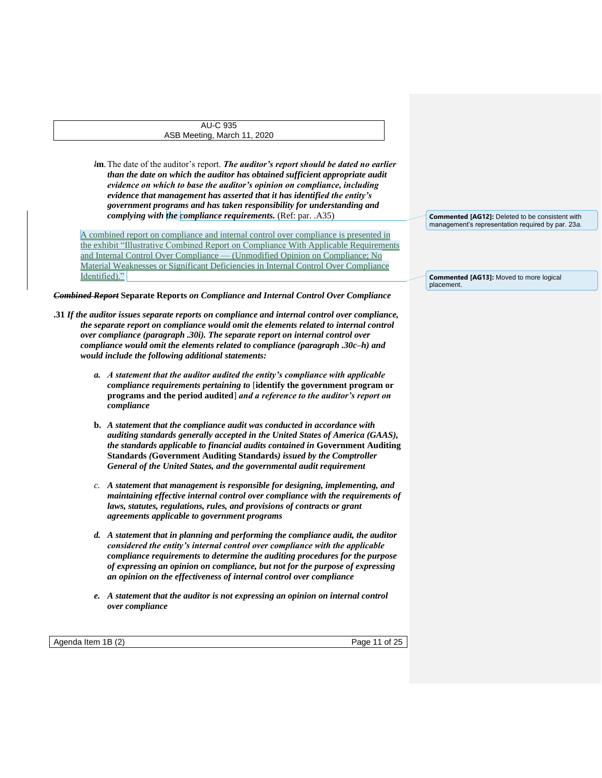| AU-C 935                    |  |  |
|-----------------------------|--|--|
| ASB Meeting, March 11, 2020 |  |  |

*l***m***.*The date of the auditor's report. *The auditor's report should be dated no earlier than the date on which the auditor has obtained sufficient appropriate audit evidence on which to base the auditor's opinion on compliance, including evidence that management has asserted that it has identified the entity's government programs and has taken responsibility for understanding and complying with the compliance requirements.* (Ref: par. .A35)

A combined report on compliance and internal control over compliance is presented in the exhibit "Illustrative Combined Report on Compliance With Applicable Requirements and Internal Control Over Compliance — (Unmodified Opinion on Compliance; No Material Weaknesses or Significant Deficiencies in Internal Control Over Compliance Identified)."

*Combined Report* **Separate Reports** *on Compliance and Internal Control Over Compliance*

- **.31** *If the auditor issues separate reports on compliance and internal control over compliance, the separate report on compliance would omit the elements related to internal control over compliance (paragraph .30i). The separate report on internal control over compliance would omit the elements related to compliance (paragraph .30c–h) and would include the following additional statements:* 
	- *a. A statement that the auditor audited the entity's compliance with applicable compliance requirements pertaining to* [**identify the government program or programs and the period audited**] *and a reference to the auditor's report on compliance*
	- **b.** *A statement that the compliance audit was conducted in accordance with auditing standards generally accepted in the United States of America (GAAS), the standards applicable to financial audits contained in* **Government Auditing Standards** *(***Government Auditing Standards***) issued by the Comptroller General of the United States, and the governmental audit requirement*
	- *c. A statement that management is responsible for designing, implementing, and maintaining effective internal control over compliance with the requirements of laws, statutes, regulations, rules, and provisions of contracts or grant agreements applicable to government programs*
	- *d. A statement that in planning and performing the compliance audit, the auditor considered the entity's internal control over compliance with the applicable compliance requirements to determine the auditing procedures for the purpose of expressing an opinion on compliance, but not for the purpose of expressing an opinion on the effectiveness of internal control over compliance*
	- *e. A statement that the auditor is not expressing an opinion on internal control over compliance*

Agenda Item 1B (2) **Page 11 of 25** 

**Commented [AG12]:** Deleted to be consistent with management's representation required by par. 23*a.*

**Commented [AG13]:** Moved to more logical placement.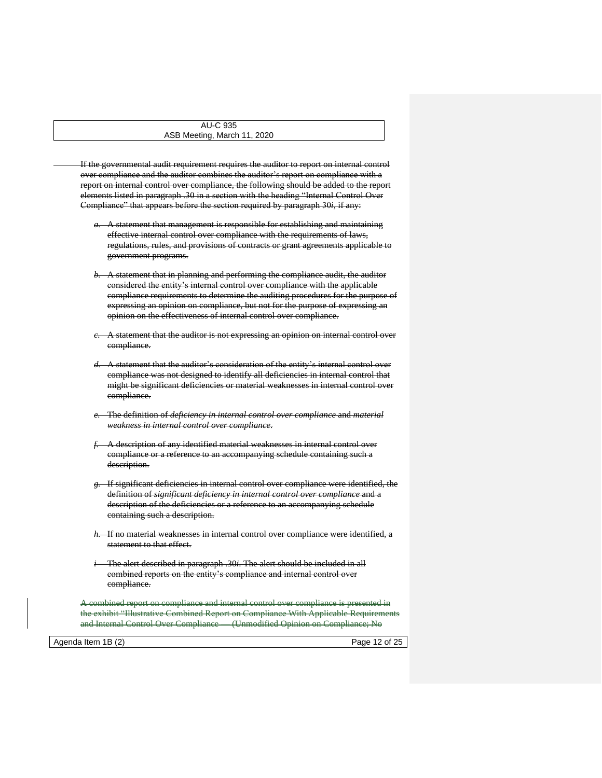If the governmental audit requirement requires the auditor to report on internal control over compliance and the auditor combines the auditor's report on compliance with a report on internal control over compliance, the following should be added to the report elements listed in paragraph .30 in a section with the heading "Internal Control Over Compliance" that appears before the section required by paragraph 30*i*, if any:

- *a.* A statement that management is responsible for establishing and maintaining effective internal control over compliance with the requirements of laws, regulations, rules, and provisions of contracts or grant agreements applicable to government programs.
- *b.* A statement that in planning and performing the compliance audit, the auditor considered the entity's internal control over compliance with the applicable compliance requirements to determine the auditing procedures for the purpose of expressing an opinion on compliance, but not for the purpose of expressing an opinion on the effectiveness of internal control over compliance.
- A statement that the auditor is not expressing an opinion on internal control over compliance.
- *d.* A statement that the auditor's consideration of the entity's internal control over compliance was not designed to identify all deficiencies in internal control that might be significant deficiencies or material weaknesses in internal control over compliance.
- *Fhe definition of <i>deficiency in internal control over compliance* and *material weakness in internal control over compliance*.
- *f.* A description of any identified material weaknesses in internal control over compliance or a reference to an accompanying schedule containing such a description.
- *g.* If significant deficiencies in internal control over compliance were identified, the definition of *significant deficiency in internal control over compliance* and a description of the deficiencies or a reference to an accompanying schedule containing such a description.
- *h.* If no material weaknesses in internal control over compliance were identified, a statement to that effect.
- *i* The alert described in paragraph .30*i*. The alert should be included in all combined reports on the entity's compliance and internal control over compliance.

i<del>ned report on compliance and internal</del> the exhibit "Illustrative Combined Report on Compliance With Applicable Requirement Control Over Compliance;<br>and Internal Control Over Compliance — (Unmodified Opinion on Compliance; and Internal Control Over Compliance — (Unmodified Opinion on Compli

Agenda Item 1B (2) **Page 12 of 25**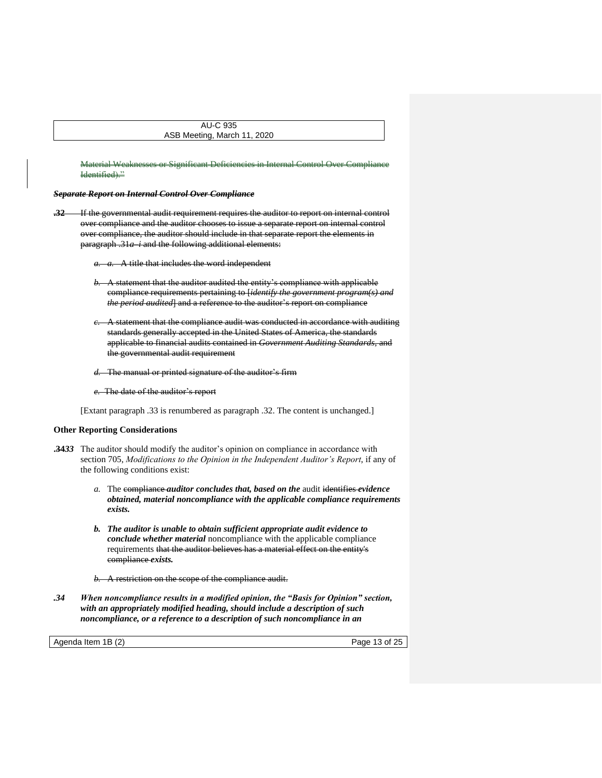Deficiencies in Internal Control Identified)."

*Separate Report on Internal Control Over Compliance* 

**.32** If the governmental audit requirement requires the auditor to report on internal control over compliance and the auditor chooses to issue a separate report on internal control over compliance, the auditor should include in that separate report the elements in paragraph .31*a–i* and the following additional elements:

*a. a.* A title that includes the word independent

- *b.* A statement that the auditor audited the entity's compliance with applicable compliance requirements pertaining to [*identify the government program(s) and the period audited*] and a reference to the auditor's report on compliance
- *c.* A statement that the compliance audit was conducted in accordance with auditing standards generally accepted in the United States of America, the standards applicable to financial audits contained in *Government Auditing Standards*, and the governmental audit requirement
- *d.* The manual or printed signature of the auditor's firm

*e.* The date of the auditor's report

[Extant paragraph .33 is renumbered as paragraph .32. The content is unchanged.]

### **Other Reporting Considerations**

- **.34***33* The auditor should modify the auditor's opinion on compliance in accordance with section 705, *Modifications to the Opinion in the Independent Auditor's Report*, if any of the following conditions exist:
	- *a.* The compliance *auditor concludes that, based on the* audit identifies *evidence obtained, material noncompliance with the applicable compliance requirements exists.*
	- *b. The auditor is unable to obtain sufficient appropriate audit evidence to conclude whether material* noncompliance with the applicable compliance requirements that the auditor believes has a material effect on the entity's compliance *exists.*

*b.* A restriction on the scope of the compliance audit.

*.34 When noncompliance results in a modified opinion, the "Basis for Opinion" section, with an appropriately modified heading, should include a description of such noncompliance, or a reference to a description of such noncompliance in an* 

Agenda Item 1B (2) **Page 13 of 25**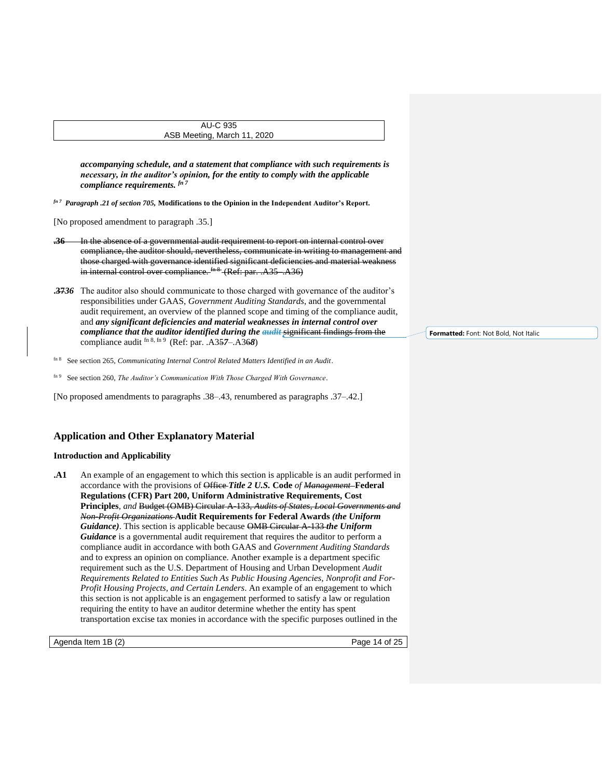| AU-U 930.                   |  |
|-----------------------------|--|
| ASB Meeting, March 11, 2020 |  |
|                             |  |

 $AB-Q$ 

*accompanying schedule, and a statement that compliance with such requirements is necessary, in the auditor's opinion, for the entity to comply with the applicable compliance requirements. fn 7*

*fn 7 Paragraph .21 of section 705,* **Modifications to the Opinion in the Independent Auditor's Report.** 

[No proposed amendment to paragraph .35.]

- <span id="page-13-0"></span>**.36** In the absence of a governmental audit requirement to report on internal control over compliance, the auditor should, nevertheless, communicate in writing to management and those charged with governance identified significant deficiencies and material weakness in internal control over compliance.  $\frac{\text{fn 8}}{\text{Ref: par.}}$  A35 .A36)
- **.37***36* The auditor also should communicate to those charged with governance of the auditor's responsibilities under GAAS, *Government Auditing Standards*, and the governmental audit requirement, an overview of the planned scope and timing of the compliance audit, and *any significant deficiencies and material weaknesses in internal control over compliance that the auditor identified during the audit significant findings from the* compliance audit fn 8, fn 9 (Ref: par. .A35*7*–.A36*8*)
- fn 8 See section 265, *Communicating Internal Control Related Matters Identified in an Audit*.
- fn 9 See section 260, *The Auditor's Communication With Those Charged With Governance.*

[No proposed amendments to paragraphs .38–.43, renumbered as paragraphs .37–.42.]

## **Application and Other Explanatory Material**

#### **Introduction and Applicability**

**.A1** An example of an engagement to which this section is applicable is an audit performed in accordance with the provisions of Office *Title 2 U.S.* **Code** *of Management* **Federal Regulations (CFR) Part 200, Uniform Administrative Requirements, Cost Principles***, and* Budget (OMB) Circular A-133, *Audits of States, Local Governments and Non-Profit Organizations* **Audit Requirements for Federal Awards** *(the Uniform Guidance)*. This section is applicable because OMB Circular A-133 *the Uniform Guidance* is a governmental audit requirement that requires the auditor to perform a compliance audit in accordance with both GAAS and *Government Auditing Standards* and to express an opinion on compliance. Another example is a department specific requirement such as the U.S. Department of Housing and Urban Development *Audit Requirements Related to Entities Such As Public Housing Agencies, Nonprofit and For-Profit Housing Projects, and Certain Lenders*. An example of an engagement to which this section is not applicable is an engagement performed to satisfy a law or regulation requiring the entity to have an auditor determine whether the entity has spent transportation excise tax monies in accordance with the specific purposes outlined in the

Agenda Item 1B (2) **Page 14 of 25** 

**Formatted:** Font: Not Bold, Not Italic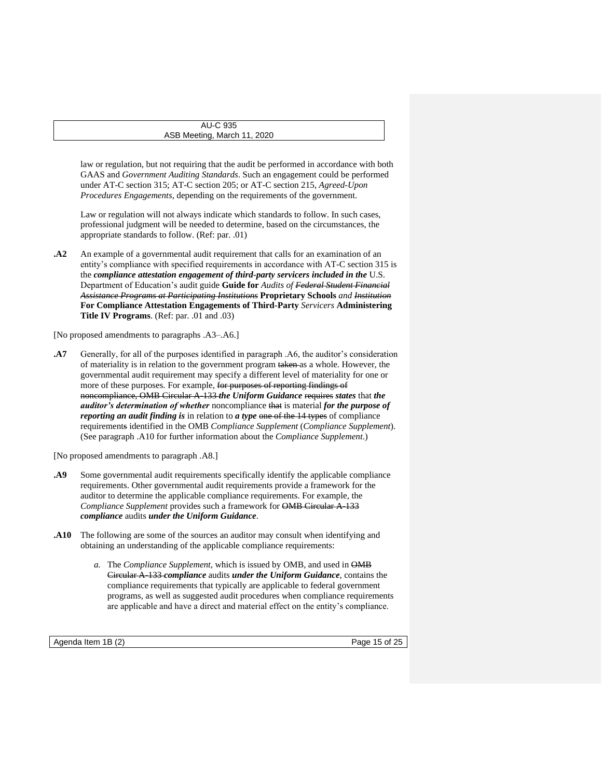| AU-C 935                    |  |
|-----------------------------|--|
| ASB Meeting, March 11, 2020 |  |

law or regulation, but not requiring that the audit be performed in accordance with both GAAS and *Government Auditing Standards*. Such an engagement could be performed under AT-C section 315; AT-C section 205; or AT-C section 215, *Agreed-Upon Procedures Engagements*, depending on the requirements of the government.

Law or regulation will not always indicate which standards to follow. In such cases, professional judgment will be needed to determine, based on the circumstances, the appropriate standards to follow. (Ref: par. .01)

**.A2** An example of a governmental audit requirement that calls for an examination of an entity's compliance with specified requirements in accordance with AT-C section 315 is the *compliance attestation engagement of third-party servicers included in the* U.S. Department of Education's audit guide **Guide for** *Audits of Federal Student Financial Assistance Programs at Participating Institutions* **Proprietary Schools** *and Institution*  **For Compliance Attestation Engagements of Third-Party** *Servicers* **Administering Title IV Programs**. (Ref: par. .01 and .03)

[No proposed amendments to paragraphs .A3–.A6.]

**.A7** Generally, for all of the purposes identified in paragraph .A6, the auditor's consideration of materiality is in relation to the government program taken as a whole. However, the governmental audit requirement may specify a different level of materiality for one or more of these purposes. For example, for purposes of reporting findings of noncompliance, OMB Circular A-133 *the Uniform Guidance* requires *states* that *the auditor's determination of whether* noncompliance that is material *for the purpose of reporting an audit finding is in relation to a type one of the 14 types of compliance* requirements identified in the OMB *Compliance Supplement* (*Compliance Supplement*). (See paragraph .A10 for further information about the *Compliance Supplement*.)

[No proposed amendments to paragraph .A8.]

- **.A9** Some governmental audit requirements specifically identify the applicable compliance requirements. Other governmental audit requirements provide a framework for the auditor to determine the applicable compliance requirements. For example, the *Compliance Supplement* provides such a framework for OMB Circular A-133 *compliance* audits *under the Uniform Guidance*.
- **.A10** The following are some of the sources an auditor may consult when identifying and obtaining an understanding of the applicable compliance requirements:
	- *a.* The *Compliance Supplement*, which is issued by OMB, and used in OMB Circular A-133 *compliance* audits *under the Uniform Guidance*, contains the compliance requirements that typically are applicable to federal government programs, as well as suggested audit procedures when compliance requirements are applicable and have a direct and material effect on the entity's compliance.

Agenda Item 1B (2) **Page 15 of 25**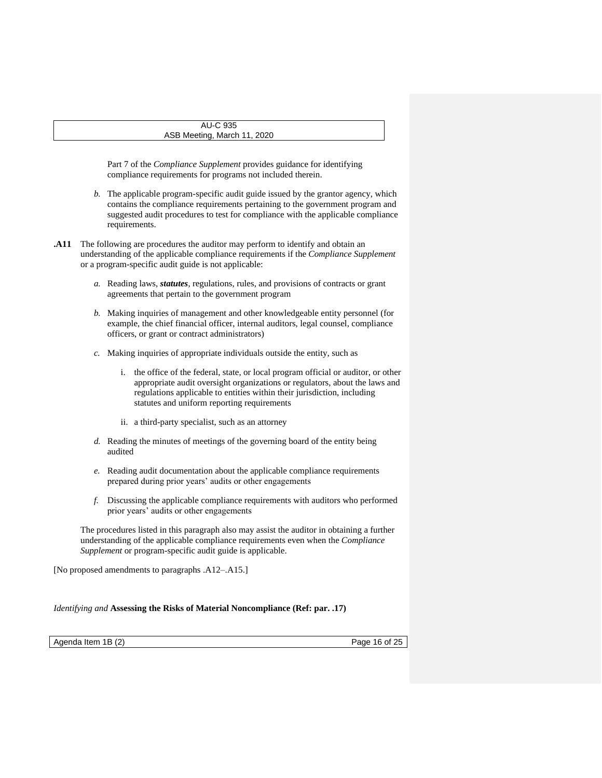Part 7 of the *Compliance Supplement* provides guidance for identifying compliance requirements for programs not included therein.

- *b.* The applicable program-specific audit guide issued by the grantor agency, which contains the compliance requirements pertaining to the government program and suggested audit procedures to test for compliance with the applicable compliance requirements.
- **.A11** The following are procedures the auditor may perform to identify and obtain an understanding of the applicable compliance requirements if the *Compliance Supplement* or a program-specific audit guide is not applicable:
	- *a.* Reading laws, *statutes*, regulations, rules, and provisions of contracts or grant agreements that pertain to the government program
	- *b.* Making inquiries of management and other knowledgeable entity personnel (for example, the chief financial officer, internal auditors, legal counsel, compliance officers, or grant or contract administrators)
	- *c.* Making inquiries of appropriate individuals outside the entity, such as
		- i. the office of the federal, state, or local program official or auditor, or other appropriate audit oversight organizations or regulators, about the laws and regulations applicable to entities within their jurisdiction, including statutes and uniform reporting requirements
		- ii. a third-party specialist, such as an attorney
	- *d.* Reading the minutes of meetings of the governing board of the entity being audited
	- *e.* Reading audit documentation about the applicable compliance requirements prepared during prior years' audits or other engagements
	- *f.* Discussing the applicable compliance requirements with auditors who performed prior years' audits or other engagements

The procedures listed in this paragraph also may assist the auditor in obtaining a further understanding of the applicable compliance requirements even when the *Compliance Supplement* or program-specific audit guide is applicable.

[No proposed amendments to paragraphs .A12–.A15.]

*Identifying and* **Assessing the Risks of Material Noncompliance (Ref: par. .17)**

Agenda Item 1B (2) **Page 16 of 25**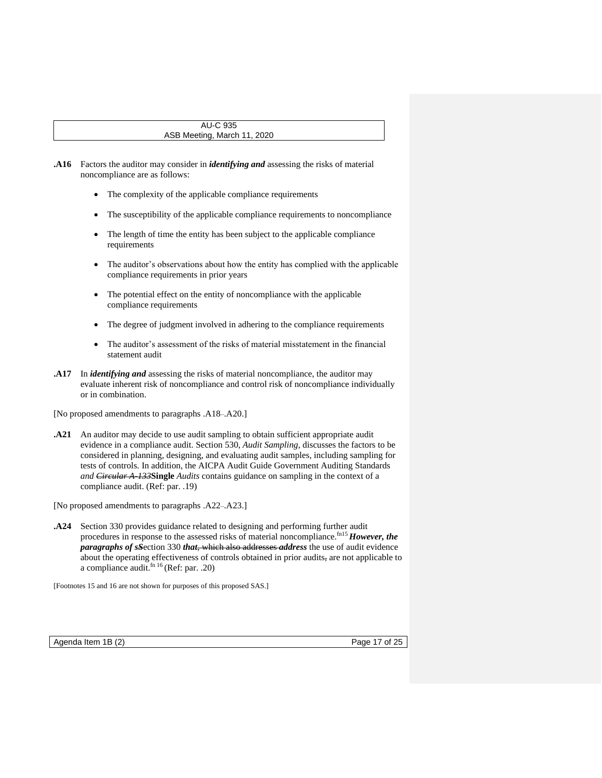| AU-C 935                    |  |  |  |
|-----------------------------|--|--|--|
| ASB Meeting, March 11, 2020 |  |  |  |

- <span id="page-16-0"></span>**.A16** Factors the auditor may consider in *identifying and* assessing the risks of material noncompliance are as follows:
	- The complexity of the applicable compliance requirements
	- The susceptibility of the applicable compliance requirements to noncompliance
	- The length of time the entity has been subject to the applicable compliance requirements
	- The auditor's observations about how the entity has complied with the applicable compliance requirements in prior years
	- The potential effect on the entity of noncompliance with the applicable compliance requirements
	- The degree of judgment involved in adhering to the compliance requirements
	- The auditor's assessment of the risks of material misstatement in the financial statement audit
- **.A17** In *identifying and* assessing the risks of material noncompliance, the auditor may evaluate inherent risk of noncompliance and control risk of noncompliance individually or in combination.

[No proposed amendments to paragraphs .A18–.A20.]

**.A21** An auditor may decide to use audit sampling to obtain sufficient appropriate audit evidence in a compliance audit. Section 530, *Audit Sampling*, discusses the factors to be considered in planning, designing, and evaluating audit samples, including sampling for tests of controls. In addition, the AICPA Audit Guide Government Auditing Standards *and Circular A-133***Single** *Audits* contains guidance on sampling in the context of a compliance audit. (Ref: par. .19)

[No proposed amendments to paragraphs .A22–.A23.]

**.A24** Section 330 provides guidance related to designing and performing further audit procedures in response to the assessed risks of material noncompliance.<sup>fn15</sup> *However, the paragraphs of sSection 330 <i>that*, which also addresses *address* the use of audit evidence about the operating effectiveness of controls obtained in prior audits, are not applicable to a compliance audit. $\lim_{h \to 6} 16$  (Ref: par. .20)

[Footnotes 15 and 16 are not shown for purposes of this proposed SAS.]

Agenda Item 1B (2) **Page 17 of 25**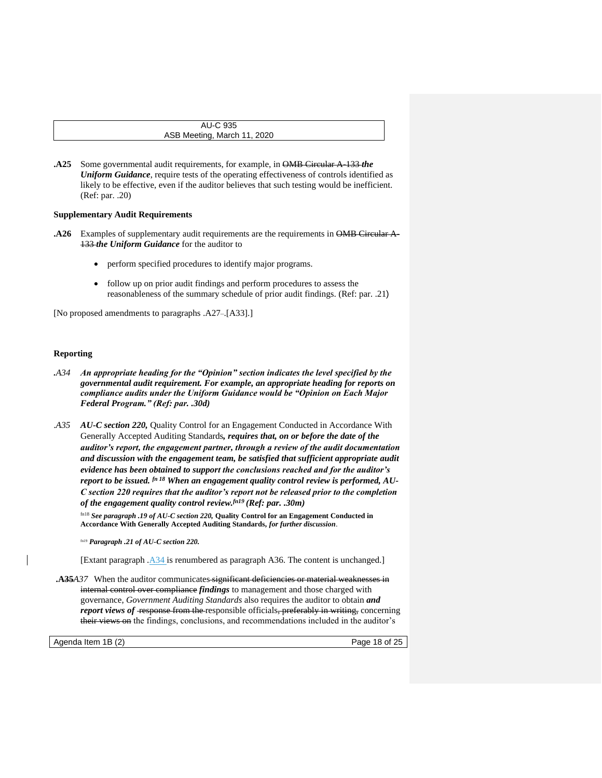| AU-C 935                    |  |
|-----------------------------|--|
| ASB Meeting, March 11, 2020 |  |

**.A25** Some governmental audit requirements, for example, in OMB Circular A-133 *the Uniform Guidance*, require tests of the operating effectiveness of controls identified as likely to be effective, even if the auditor believes that such testing would be inefficient. (Ref: par. .20)

### **Supplementary Audit Requirements**

- **.A26** Examples of supplementary audit requirements are the requirements in OMB Circular A-133 *the Uniform Guidance* for the auditor to
	- perform specified procedures to identify major programs.
	- follow up on prior audit findings and perform procedures to assess the reasonableness of the summary schedule of prior audit findings. (Ref: par. .21)

[No proposed amendments to paragraphs .A27–.[A33].]

#### **Reporting**

- *.A34 An appropriate heading for the "Opinion" section indicates the level specified by the governmental audit requirement. For example, an appropriate heading for reports on compliance audits under the Uniform Guidance would be "Opinion on Each Major Federal Program." (Ref: par. .30d)*
- .*A35 AU-C section 220,* Quality Control for an Engagement Conducted in Accordance With Generally Accepted Auditing Standards*, requires that, on or before the date of the auditor's report, the engagement partner, through a review of the audit documentation and discussion with the engagement team, be satisfied that sufficient appropriate audit evidence has been obtained to support the conclusions reached and for the auditor's report to be issued. fn 18 When an engagement quality control review is performed, AU-C section 220 requires that the auditor's report not be released prior to the completion of the engagement quality control review.fn19 (Ref: par. .30m)* fn18 *See paragraph .19 of AU-C section 220,* **Quality Control for an Engagement Conducted in Accordance With Generally Accepted Auditing Standards***, for further discussion*.

fn19 *Paragraph .21 of AU-C section 220.*

[Extant paragraph .A34 is renumbered as paragraph A36. The content is unchanged.]

**A35***A37* When the auditor communicates significant deficiencies or material weaknesses in internal control over compliance *findings* to management and those charged with governance, *Government Auditing Standards* also requires the auditor to obtain *and report views of <del>response from the</del> responsible officials<del>, preferably in writing,</del> concerning* their views on the findings, conclusions, and recommendations included in the auditor's

Agenda Item 1B (2) **Page 18 of 25**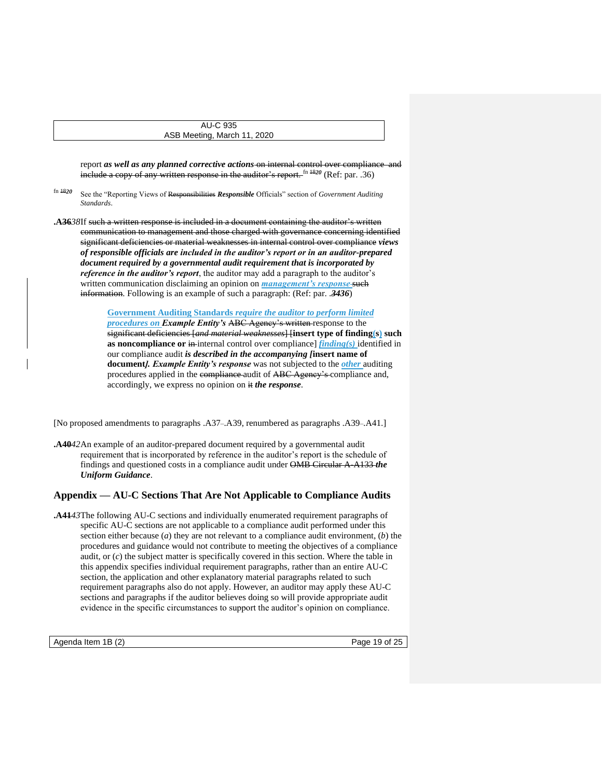report *as well as any planned corrective actions* on internal control over compliance and include a copy of any written response in the auditor's report. <sup>fn 1820</sup> (Ref: par. [.36\)](#page-13-0)

- fn 18*<sup>20</sup>* See the "Reporting Views of Responsibilities *Responsible* Officials" section of *Government Auditing Standards*.
- **.A36***38*If such a written response is included in a document containing the auditor's written communication to management and those charged with governance concerning identified significant deficiencies or material weaknesses in internal control over compliance *views of responsible officials are included in the auditor's report or in an auditor-prepared document required by a governmental audit requirement that is incorporated by reference in the auditor's report*, the auditor may add a paragraph to the auditor's written communication disclaiming an opinion on *management's response* such information. Following is an example of such a paragraph: (Ref: par. .*3436*)

**Government Auditing Standards** *require the auditor to perform limited*  **procedures on Example Entity's ABC Agency's written response to the** significant deficiencies [*and material weaknesses*] [**insert type of finding(s) such as noncompliance or in-internal control over compliance]** *finding(s)* **identified in** our compliance audit *is described in the accompanying [***insert name of document***]. Example Entity's response* was not subjected to the *other* auditing procedures applied in the compliance audit of ABC Agency's compliance and, accordingly, we express no opinion on it *the response*.

[No proposed amendments to paragraphs .A37–.A39, renumbered as paragraphs .A39–.A41.]

**.A40***42*An example of an auditor-prepared document required by a governmental audit requirement that is incorporated by reference in the auditor's report is the schedule of findings and questioned costs in a compliance audit under OMB Circular A-A133 *the Uniform Guidance*.

# **Appendix — AU-C Sections That Are Not Applicable to Compliance Audits**

**.A41***43*The following AU-C sections and individually enumerated requirement paragraphs of specific AU-C sections are not applicable to a compliance audit performed under this section either because (*a*) they are not relevant to a compliance audit environment, (*b*) the procedures and guidance would not contribute to meeting the objectives of a compliance audit, or (*c*) the subject matter is specifically covered in this section. Where the table in this appendix specifies individual requirement paragraphs, rather than an entire AU-C section, the application and other explanatory material paragraphs related to such requirement paragraphs also do not apply. However, an auditor may apply these AU-C sections and paragraphs if the auditor believes doing so will provide appropriate audit evidence in the specific circumstances to support the auditor's opinion on compliance.

Agenda Item 1B (2) Page 19 of 25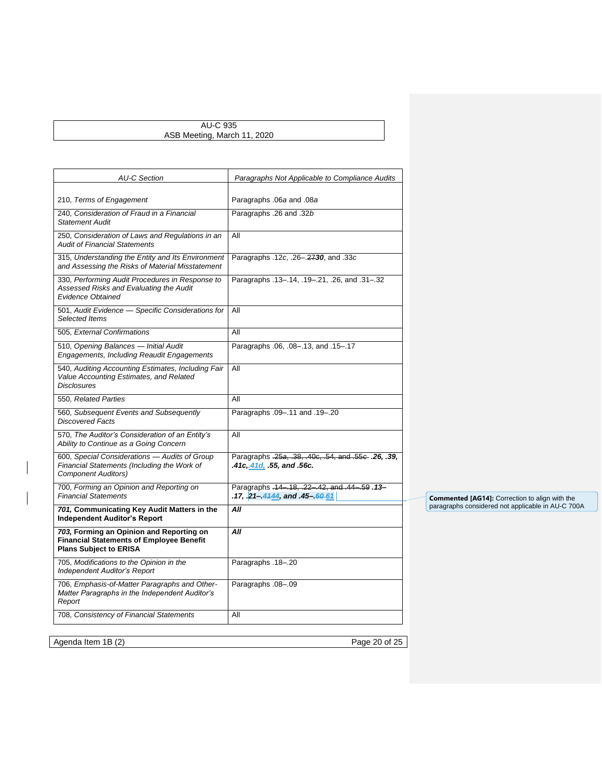| <b>AU-C Section</b>                                                                                                          | Paragraphs Not Applicable to Compliance Audits                                   |
|------------------------------------------------------------------------------------------------------------------------------|----------------------------------------------------------------------------------|
| 210, Terms of Engagement                                                                                                     | Paragraphs .06a and .08a                                                         |
| 240, Consideration of Fraud in a Financial<br><b>Statement Audit</b>                                                         | Paragraphs .26 and .32b                                                          |
| 250, Consideration of Laws and Regulations in an<br><b>Audit of Financial Statements</b>                                     | All                                                                              |
| 315, Understanding the Entity and Its Environment<br>and Assessing the Risks of Material Misstatement                        | Paragraphs .12c, .26-.2730, and .33c                                             |
| 330, Performing Audit Procedures in Response to<br>Assessed Risks and Evaluating the Audit<br>Evidence Obtained              | Paragraphs .13-.14, .19-.21, .26, and .31-.32                                    |
| 501, Audit Evidence - Specific Considerations for<br>Selected Items                                                          | All                                                                              |
| 505. External Confirmations                                                                                                  | All                                                                              |
| 510, Opening Balances - Initial Audit<br>Engagements, Including Reaudit Engagements                                          | Paragraphs .06, .08-.13, and .15-.17                                             |
| 540, Auditing Accounting Estimates, Including Fair<br>Value Accounting Estimates, and Related<br><b>Disclosures</b>          | All                                                                              |
| 550, Related Parties                                                                                                         | All                                                                              |
| 560, Subsequent Events and Subsequently<br><b>Discovered Facts</b>                                                           | Paragraphs .09-.11 and .19-.20                                                   |
| 570, The Auditor's Consideration of an Entity's<br>Ability to Continue as a Going Concern                                    | All                                                                              |
| 600, Special Considerations - Audits of Group<br>Financial Statements (Including the Work of<br><b>Component Auditors)</b>   | Paragraphs .25a, .38, .40c, .54, and .55c .26, .39,<br>.41c, 41d, .55, and .56c. |
| 700, Forming an Opinion and Reporting on<br><b>Financial Statements</b>                                                      | Paragraphs .14 .18, .22 -.42, and .44 -.59 .13<br>.17, .21–.4144, and .45–.60-61 |
| 701, Communicating Key Audit Matters in the<br><b>Independent Auditor's Report</b>                                           | All                                                                              |
| 703, Forming an Opinion and Reporting on<br><b>Financial Statements of Employee Benefit</b><br><b>Plans Subject to ERISA</b> | All                                                                              |
| 705, Modifications to the Opinion in the<br><b>Independent Auditor's Report</b>                                              | Paragraphs .18-.20                                                               |
| 706, Emphasis-of-Matter Paragraphs and Other-<br>Matter Paragraphs in the Independent Auditor's<br>Report                    | Paragraphs .08-.09                                                               |
| 708, Consistency of Financial Statements                                                                                     | All                                                                              |

**Commented [AG14]:** Correction to align with the paragraphs considered not applicable in AU-C 700A

Agenda Item 1B (2) Page 20 of 25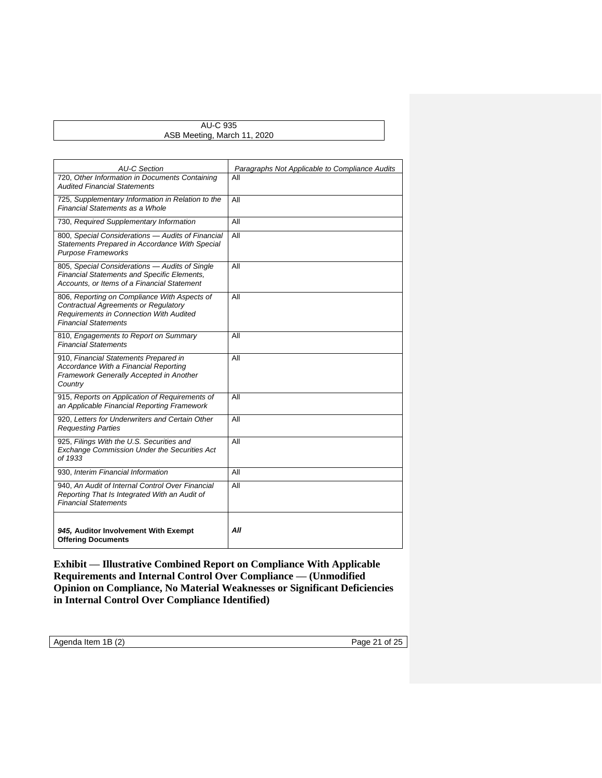| <b>AU-C Section</b>                                                                                                                                                   | Paragraphs Not Applicable to Compliance Audits |
|-----------------------------------------------------------------------------------------------------------------------------------------------------------------------|------------------------------------------------|
| 720, Other Information in Documents Containing<br><b>Audited Financial Statements</b>                                                                                 | All                                            |
| 725, Supplementary Information in Relation to the<br>Financial Statements as a Whole                                                                                  | All                                            |
| 730, Required Supplementary Information                                                                                                                               | All                                            |
| 800. Special Considerations - Audits of Financial<br>Statements Prepared in Accordance With Special<br><b>Purpose Frameworks</b>                                      | All                                            |
| 805, Special Considerations - Audits of Single<br><b>Financial Statements and Specific Elements,</b><br>Accounts, or Items of a Financial Statement                   | All                                            |
| 806, Reporting on Compliance With Aspects of<br><b>Contractual Agreements or Regulatory</b><br>Requirements in Connection With Audited<br><b>Financial Statements</b> | All                                            |
| 810, Engagements to Report on Summary<br><b>Financial Statements</b>                                                                                                  | All                                            |
| 910, Financial Statements Prepared in<br>Accordance With a Financial Reporting<br>Framework Generally Accepted in Another<br>Country                                  | All                                            |
| 915, Reports on Application of Requirements of<br>an Applicable Financial Reporting Framework                                                                         | All                                            |
| 920. Letters for Underwriters and Certain Other<br><b>Requesting Parties</b>                                                                                          | All                                            |
| 925, Filings With the U.S. Securities and<br><b>Exchange Commission Under the Securities Act</b><br>of 1933                                                           | All                                            |
| 930, Interim Financial Information                                                                                                                                    | All                                            |
| 940. An Audit of Internal Control Over Financial<br>Reporting That Is Integrated With an Audit of<br><b>Financial Statements</b>                                      | All                                            |
| 945, Auditor Involvement With Exempt<br><b>Offering Documents</b>                                                                                                     | ΑIΙ                                            |

**Exhibit — Illustrative Combined Report on Compliance With Applicable Requirements and Internal Control Over Compliance — (Unmodified Opinion on Compliance, No Material Weaknesses or Significant Deficiencies in Internal Control Over Compliance Identified)**

Agenda Item 1B (2) Page 21 of 25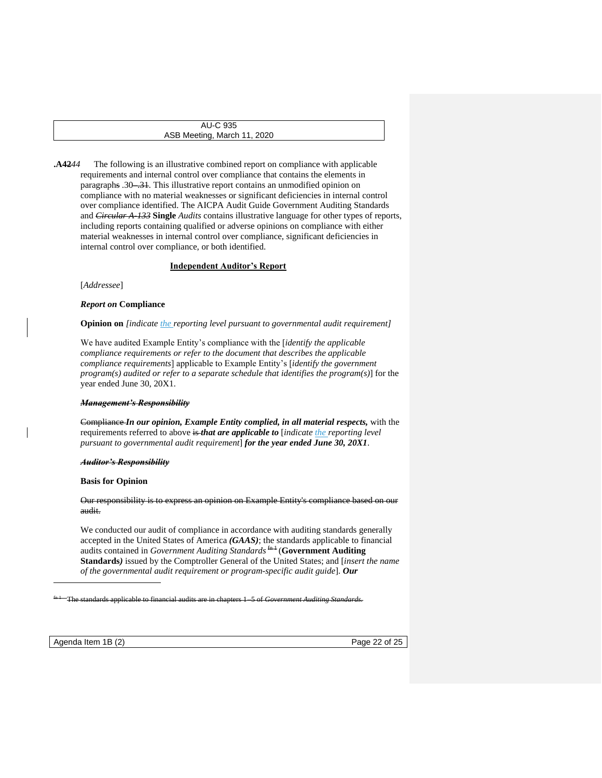| AU-C 935                    |  |  |
|-----------------------------|--|--|
| ASB Meeting, March 11, 2020 |  |  |

**.A42***44* The following is an illustrative combined report on compliance with applicable requirements and internal control over compliance that contains the elements in [paragraphs](#page-5-0) .30–.31. This illustrative report contains an unmodified opinion on compliance with no material weaknesses or significant deficiencies in internal control over compliance identified. The AICPA Audit Guide Government Auditing Standards and *Circular A-133* **Single** *Audits* contains illustrative language for other types of reports, including reports containing qualified or adverse opinions on compliance with either material weaknesses in internal control over compliance, significant deficiencies in internal control over compliance, or both identified.

# **Independent Auditor's Report**

[*Addressee*]

## *Report on* **Compliance**

**Opinion on** *[indicate the reporting level pursuant to governmental audit requirement]* 

We have audited Example Entity's compliance with the [*identify the applicable compliance requirements or refer to the document that describes the applicable compliance requirements*] applicable to Example Entity's [*identify the government program(s) audited or refer to a separate schedule that identifies the program(s)*] for the year ended June 30, 20X1.

## *Management's Responsibility*

Compliance *In our opinion, Example Entity complied, in all material respects,* with the requirements referred to above is *that are applicable to* [*indicate the reporting level pursuant to governmental audit requirement*] *for the year ended June 30, 20X1*.

#### *Auditor's Responsibility*

## **Basis for Opinion**

Our responsibility is to express an opinion on Example Entity's compliance based on our audit.

We conducted our audit of compliance in accordance with auditing standards generally accepted in the United States of America *(GAAS)*; the standards applicable to financial audits contained in *Government Auditing Standards*<sup>fn+1</sup> (Government Auditing **Standards***)* issued by the Comptroller General of the United States; and [*insert the name of the governmental audit requirement or program-specific audit guide*]. *Our* 

Agenda Item 1B (2) **Page 22 of 25** 

fn 1 The standards applicable to financial audits are in chapters 1–5 of *Government Auditing Standards.*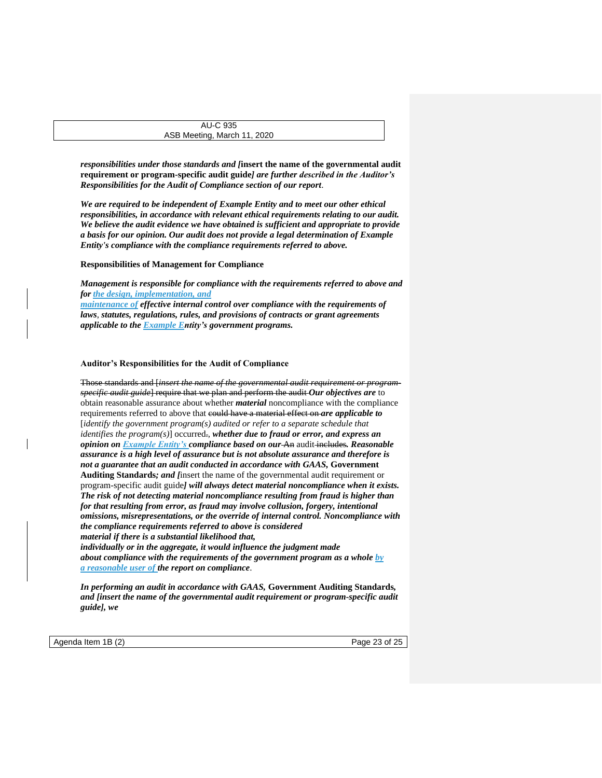| AU-C 935                    |  |
|-----------------------------|--|
| ASB Meeting, March 11, 2020 |  |

*responsibilities under those standards and [***insert the name of the governmental audit requirement or program-specific audit guide***] are further described in the Auditor's Responsibilities for the Audit of Compliance section of our report*.

*We are required to be independent of Example Entity and to meet our other ethical responsibilities, in accordance with relevant ethical requirements relating to our audit. We believe the audit evidence we have obtained is sufficient and appropriate to provide a basis for our opinion. Our audit does not provide a legal determination of Example Entity's compliance with the compliance requirements referred to above.*

# **Responsibilities of Management for Compliance**

*Management is responsible for compliance with the requirements referred to above and for the design, implementation, and* 

*maintenance of effective internal control over compliance with the requirements of laws*, *statutes, regulations, rules, and provisions of contracts or grant agreements applicable to the Example Entity's government programs.*

### **Auditor's Responsibilities for the Audit of Compliance**

Those standards and [*insert the name of the governmental audit requirement or programspecific audit guide*] require that we plan and perform the audit *Our objectives are* to obtain reasonable assurance about whether *material* noncompliance with the compliance requirements referred to above that could have a material effect on *are applicable to* [*identify the government program(s) audited or refer to a separate schedule that identifies the program(s)*] occurred., *whether due to fraud or error, and express an opinion on Example Entity's compliance based on our An audit includes. Reasonable assurance is a high level of assurance but is not absolute assurance and therefore is not a guarantee that an audit conducted in accordance with GAAS,* **Government Auditing Standards***; and [*insert the name of the governmental audit requirement or program-specific audit guide*] will always detect material noncompliance when it exists. The risk of not detecting material noncompliance resulting from fraud is higher than for that resulting from error, as fraud may involve collusion, forgery, intentional omissions, misrepresentations, or the override of internal control. Noncompliance with the compliance requirements referred to above is considered material if there is a substantial likelihood that,* 

*individually or in the aggregate, it would influence the judgment made about compliance with the requirements of the government program as a whole by a reasonable user of the report on compliance*.

*In performing an audit in accordance with GAAS,* **Government Auditing Standards***, and [insert the name of the governmental audit requirement or program-specific audit guide], we*

Agenda Item 1B (2) **Page 23 of 25**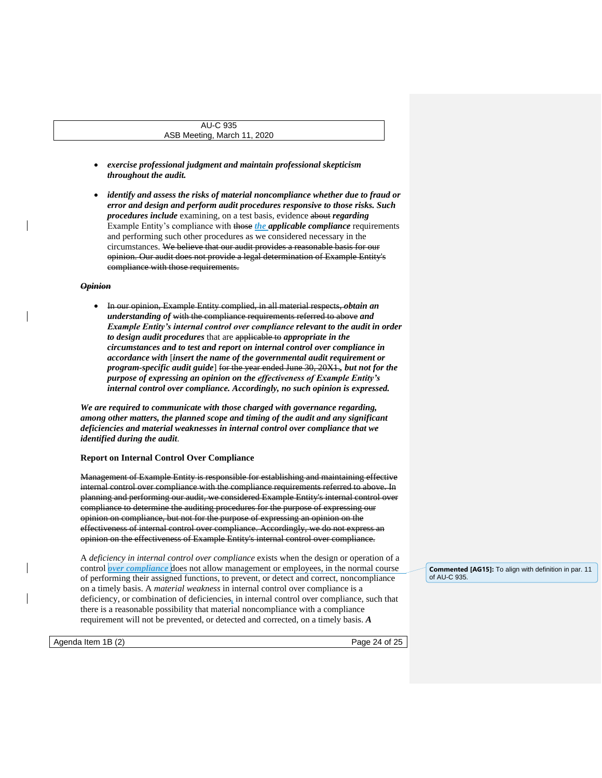- *exercise professional judgment and maintain professional skepticism throughout the audit.*
- *identify and assess the risks of material noncompliance whether due to fraud or error and design and perform audit procedures responsive to those risks. Such procedures include* examining, on a test basis, evidence about *regarding*  Example Entity's compliance with those *the applicable compliance* requirements and performing such other procedures as we considered necessary in the circumstances. We believe that our audit provides a reasonable basis for our opinion. Our audit does not provide a legal determination of Example Entity's compliance with those requirements.

#### *Opinion*

• In our opinion, Example Entity complied, in all material respects, *obtain an understanding of* with the compliance requirements referred to above *and Example Entity's internal control over compliance relevant to the audit in order to design audit procedures* that are applicable to *appropriate in the circumstances and to test and report on internal control over compliance in accordance with* [*insert the name of the governmental audit requirement or program-specific audit guide*] for the year ended June 30, 20X1.*, but not for the purpose of expressing an opinion on the effectiveness of Example Entity's internal control over compliance. Accordingly, no such opinion is expressed.*

*We are required to communicate with those charged with governance regarding, among other matters, the planned scope and timing of the audit and any significant deficiencies and material weaknesses in internal control over compliance that we identified during the audit*.

## **Report on Internal Control Over Compliance**

Management of Example Entity is responsible for establishing and maintaining effective internal control over compliance with the compliance requirements referred to above. In planning and performing our audit, we considered Example Entity's internal control over compliance to determine the auditing procedures for the purpose of expressing our opinion on compliance, but not for the purpose of expressing an opinion on the effectiveness of internal control over compliance. Accordingly, we do not express an opinion on the effectiveness of Example Entity's internal control over compliance.

A *deficiency in internal control over compliance* exists when the design or operation of a control *over compliance* does not allow management or employees, in the normal course of performing their assigned functions, to prevent, or detect and correct, noncompliance on a timely basis. A *material weakness* in internal control over compliance is a deficiency, or combination of deficiencies*,* in internal control over compliance, such that there is a reasonable possibility that material noncompliance with a compliance requirement will not be prevented, or detected and corrected, on a timely basis. *A* 

**Commented [AG15]:** To align with definition in par. 11 of AU-C 935.

Agenda Item 1B (2) **Page 24 of 25**